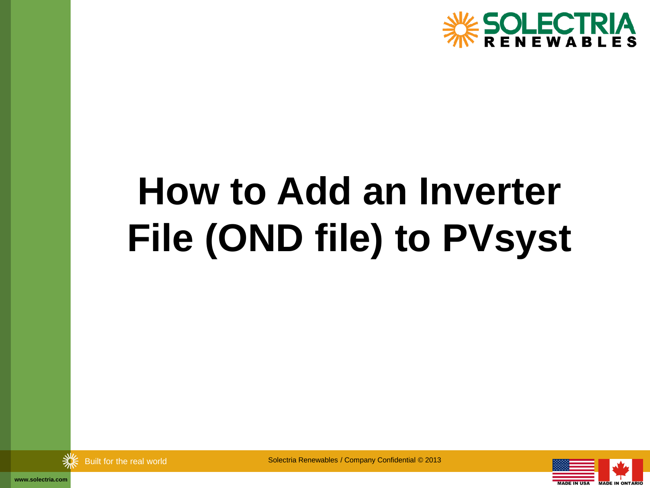

# **How to Add an Inverter File (OND file) to PVsyst**



Built for the real world Solectria Renewables / Company Confidential © 2013



**www.solectria.com**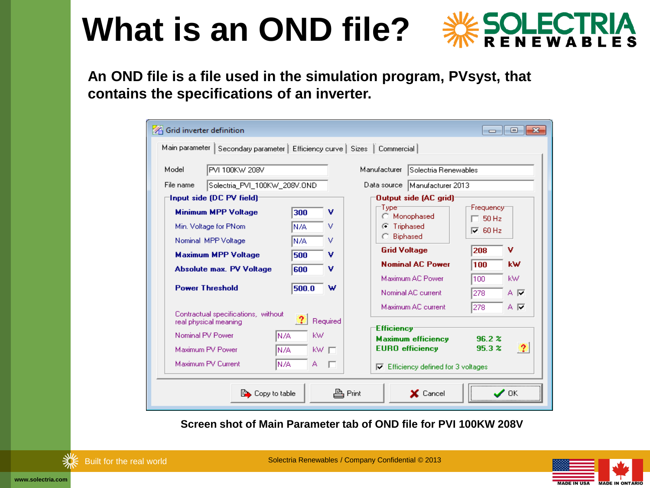## **What is an OND file?**



**An OND file is a file used in the simulation program, PVsyst, that contains the specifications of an inverter.**

| Grid inverter definition                                                     |            |                                 |                            |                                                     | $\Box$                                                  | $-x$<br>o  |  |  |  |
|------------------------------------------------------------------------------|------------|---------------------------------|----------------------------|-----------------------------------------------------|---------------------------------------------------------|------------|--|--|--|
| Main parameter   Secondary parameter   Efficiency curve   Sizes   Commercial |            |                                 |                            |                                                     |                                                         |            |  |  |  |
| Model<br>PVI 100KW 208V                                                      |            |                                 | Manufacturer               | Solectria Renewables                                |                                                         |            |  |  |  |
| File name<br>Solectria PVI 100KW 208V.OND                                    |            | Data source   Manufacturer 2013 |                            |                                                     |                                                         |            |  |  |  |
| Input side (DC PV field)                                                     |            | <b>Output side (AC grid)</b>    |                            |                                                     |                                                         |            |  |  |  |
| <b>Minimum MPP Voltage</b><br>Min. Voltage for PNom                          | 300<br>N/A | v<br>v                          | Type<br><b>C</b> Triphased | Monophased<br>Biphased                              | Frequency <sup></sup><br>$\Box$ 50 Hz<br>$\nabla$ 60 Hz |            |  |  |  |
| Nominal MPP Voltage<br><b>Maximum MPP Voltage</b>                            | N/A<br>500 | v<br>v                          | <b>Grid Voltage</b>        |                                                     | v<br>208                                                |            |  |  |  |
| <b>Absolute max. PV Voltage</b>                                              | 600        | v                               |                            | <b>Nominal AC Power</b><br>Maximum AC Power         | 100<br>100                                              | kW.<br>kW. |  |  |  |
| <b>Power Threshold</b>                                                       | 500.0      | w                               |                            | Nominal AC current                                  | 278                                                     | ΑR         |  |  |  |
| Contractual specifications, without<br>real physical meaning                 |            | Required                        | Efficiency                 | Maximum AC current                                  | 278                                                     | A M        |  |  |  |
| Nominal PV Power<br>N/A<br>Maximum PV Power<br>N/A                           | kW.        | kw $\Box$                       |                            | <b>Maximum efficiency</b><br><b>EURO</b> efficiency | 96.2 x<br>95.3 x                                        | 2          |  |  |  |
| Maximum PV Current<br>N/A<br>A<br>Efficiency defined for 3 voltages<br>⊽     |            |                                 |                            |                                                     |                                                         |            |  |  |  |
| <b>EX</b> Copy to table                                                      |            |                                 | 鸟 Print                    | X Cancel                                            |                                                         |            |  |  |  |

**Screen shot of Main Parameter tab of OND file for PVI 100KW 208V**



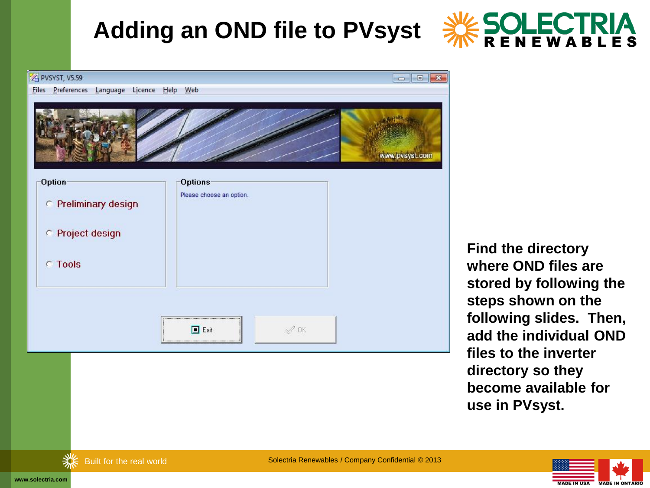

| PVSYST, V5.59                               | $\begin{array}{c c c c c} \hline \multicolumn{1}{c }{\mathbf{C}} & \multicolumn{1}{c }{\mathbf{S}} & \multicolumn{1}{c }{\mathbf{X}} \\\hline \multicolumn{1}{c }{\mathbf{C}} & \multicolumn{1}{c }{\mathbf{D}} & \multicolumn{1}{c }{\mathbf{X}} \\\hline \multicolumn{1}{c }{\mathbf{C}} & \multicolumn{1}{c }{\mathbf{C}} & \multicolumn{1}{c }{\mathbf{S}} & \multicolumn{1}{c }{\mathbf{X}} \\\hline \multicolumn{1}{c }{\mathbf{D}} & \multicolumn{1$ |
|---------------------------------------------|-------------------------------------------------------------------------------------------------------------------------------------------------------------------------------------------------------------------------------------------------------------------------------------------------------------------------------------------------------------------------------------------------------------------------------------------------------------|
| Files Preferences Language Licence Help Web |                                                                                                                                                                                                                                                                                                                                                                                                                                                             |
|                                             | www.pvsyst.com                                                                                                                                                                                                                                                                                                                                                                                                                                              |
| Option                                      | Options                                                                                                                                                                                                                                                                                                                                                                                                                                                     |
| C Preliminary design                        | Please choose an option.                                                                                                                                                                                                                                                                                                                                                                                                                                    |
| C Project design                            |                                                                                                                                                                                                                                                                                                                                                                                                                                                             |
| <b>C</b> Tools                              |                                                                                                                                                                                                                                                                                                                                                                                                                                                             |
|                                             |                                                                                                                                                                                                                                                                                                                                                                                                                                                             |
|                                             | $\mathcal{Q}$ ok<br>□ Exit                                                                                                                                                                                                                                                                                                                                                                                                                                  |

**Find the directory where OND files are stored by following the steps shown on the following slides. Then, add the individual OND files to the inverter directory so they become available for use in PVsyst.** 





**www.solectria.com**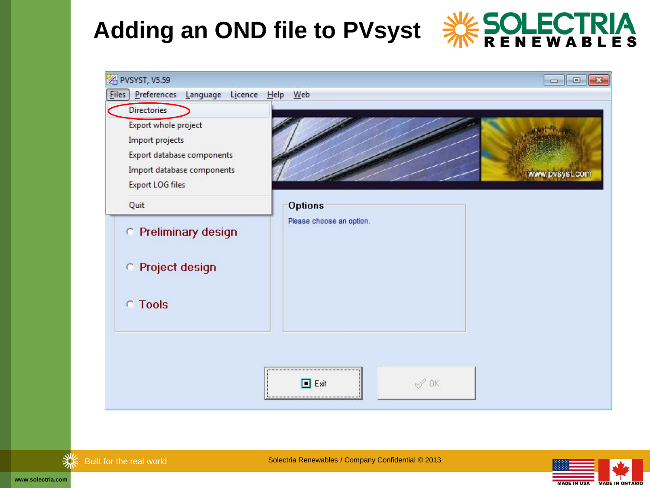





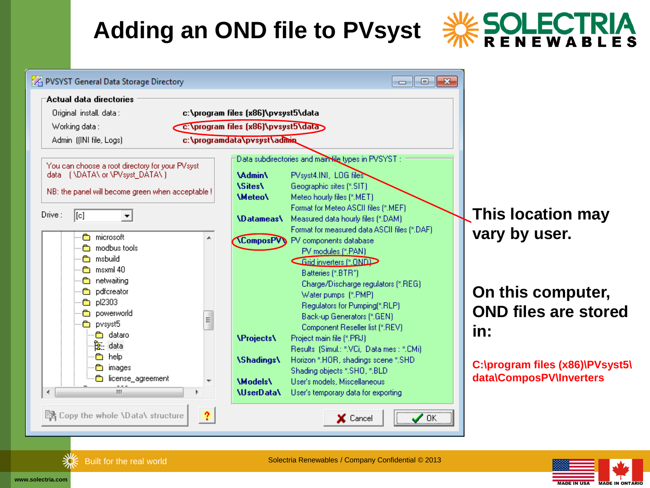



**This location may vary by user.**

### **On this computer, OND files are stored**

**C:\program files (x86)\PVsyst5\ data\ComposPV\Inverters**